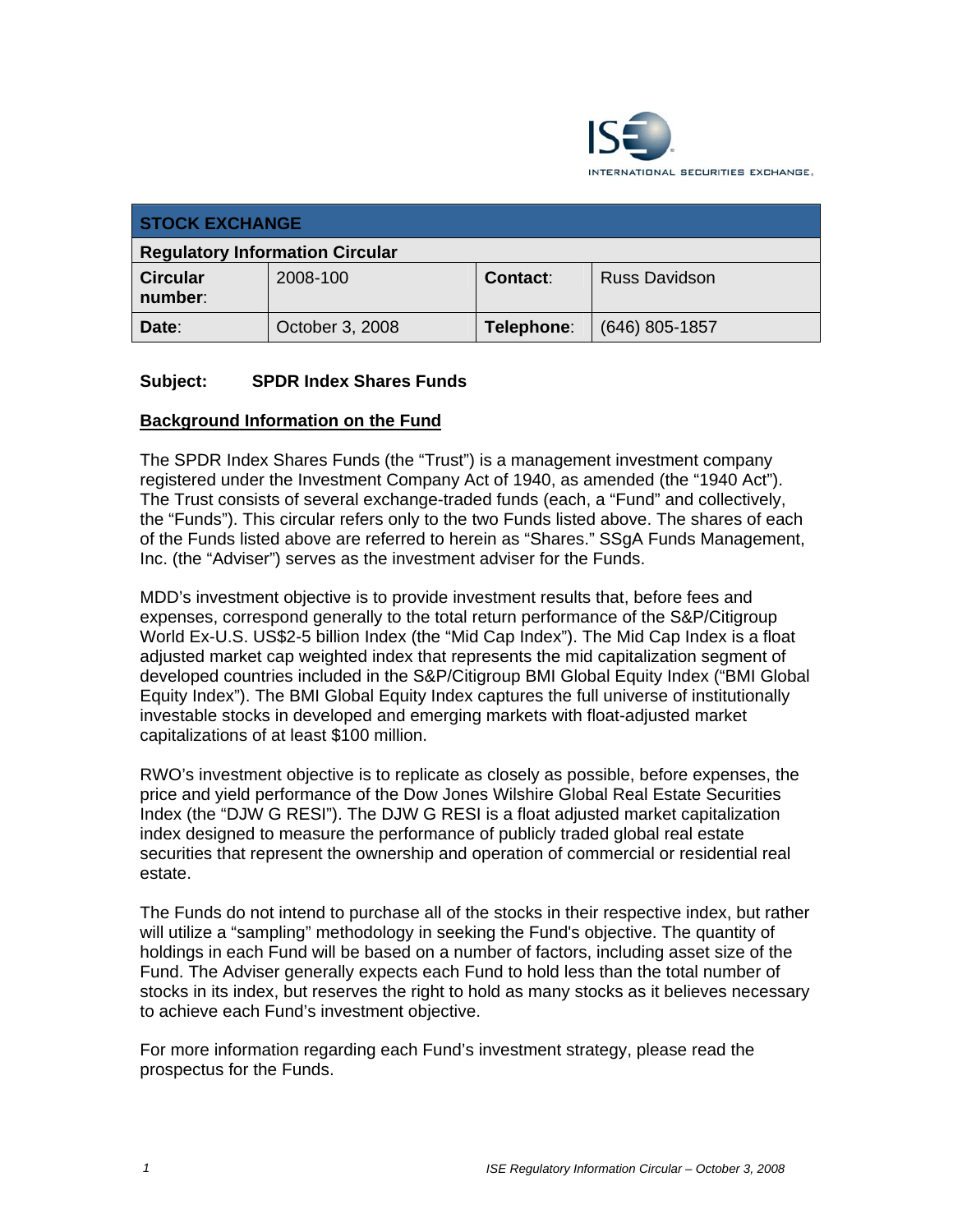

| <b>STOCK EXCHANGE</b>                  |                 |                 |                      |  |  |
|----------------------------------------|-----------------|-----------------|----------------------|--|--|
| <b>Regulatory Information Circular</b> |                 |                 |                      |  |  |
| <b>Circular</b><br>number:             | 2008-100        | <b>Contact:</b> | <b>Russ Davidson</b> |  |  |
| Date:                                  | October 3, 2008 | Telephone:      | $(646)$ 805-1857     |  |  |

## **Subject: SPDR Index Shares Funds**

#### **Background Information on the Fund**

The SPDR Index Shares Funds (the "Trust") is a management investment company registered under the Investment Company Act of 1940, as amended (the "1940 Act"). The Trust consists of several exchange-traded funds (each, a "Fund" and collectively, the "Funds"). This circular refers only to the two Funds listed above. The shares of each of the Funds listed above are referred to herein as "Shares." SSgA Funds Management, Inc. (the "Adviser") serves as the investment adviser for the Funds.

MDD's investment objective is to provide investment results that, before fees and expenses, correspond generally to the total return performance of the S&P/Citigroup World Ex-U.S. US\$2-5 billion Index (the "Mid Cap Index"). The Mid Cap Index is a float adjusted market cap weighted index that represents the mid capitalization segment of developed countries included in the S&P/Citigroup BMI Global Equity Index ("BMI Global Equity Index"). The BMI Global Equity Index captures the full universe of institutionally investable stocks in developed and emerging markets with float-adjusted market capitalizations of at least \$100 million.

RWO's investment objective is to replicate as closely as possible, before expenses, the price and yield performance of the Dow Jones Wilshire Global Real Estate Securities Index (the "DJW G RESI"). The DJW G RESI is a float adjusted market capitalization index designed to measure the performance of publicly traded global real estate securities that represent the ownership and operation of commercial or residential real estate.

The Funds do not intend to purchase all of the stocks in their respective index, but rather will utilize a "sampling" methodology in seeking the Fund's objective. The quantity of holdings in each Fund will be based on a number of factors, including asset size of the Fund. The Adviser generally expects each Fund to hold less than the total number of stocks in its index, but reserves the right to hold as many stocks as it believes necessary to achieve each Fund's investment objective.

For more information regarding each Fund's investment strategy, please read the prospectus for the Funds.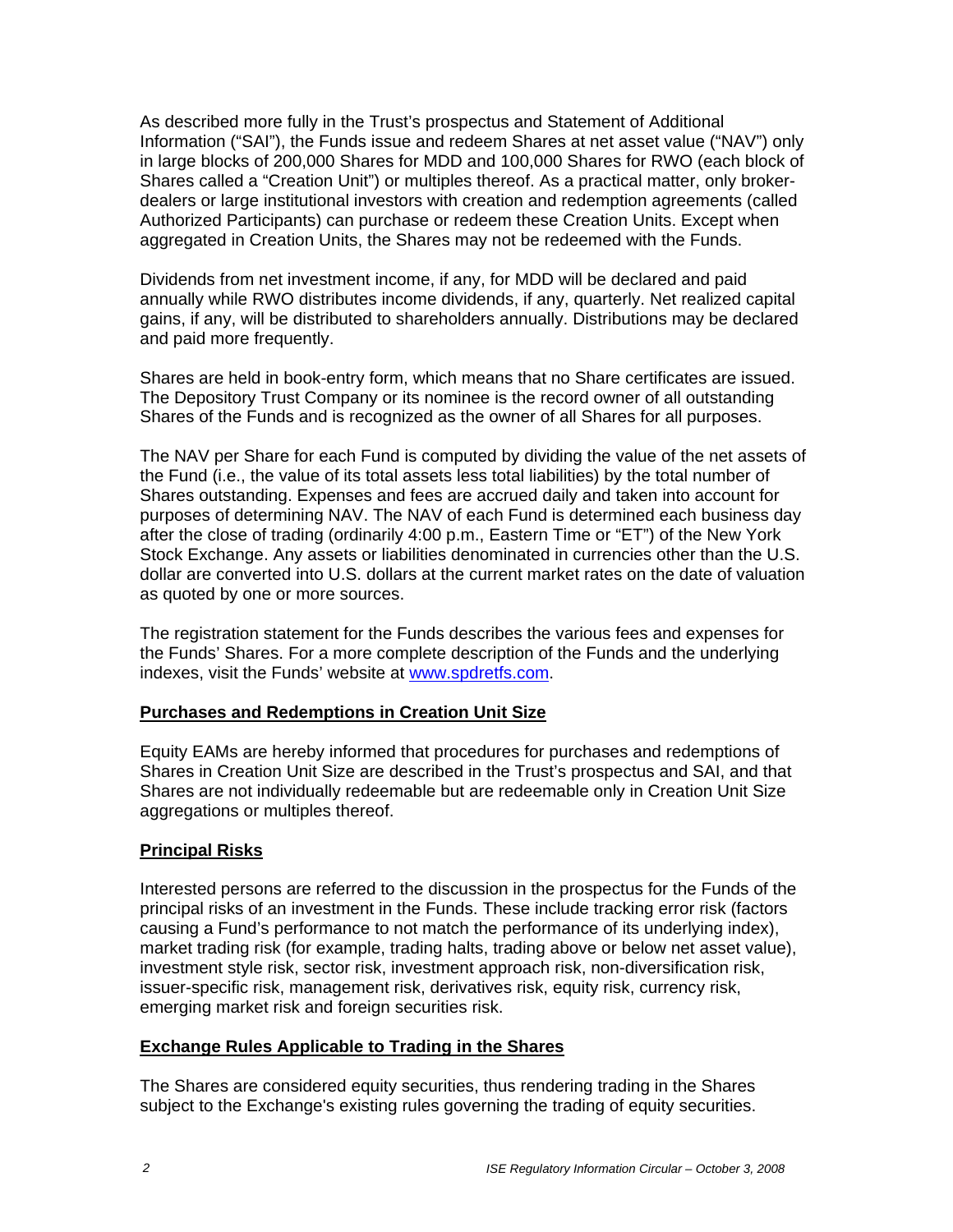As described more fully in the Trust's prospectus and Statement of Additional Information ("SAI"), the Funds issue and redeem Shares at net asset value ("NAV") only in large blocks of 200,000 Shares for MDD and 100,000 Shares for RWO (each block of Shares called a "Creation Unit") or multiples thereof. As a practical matter, only brokerdealers or large institutional investors with creation and redemption agreements (called Authorized Participants) can purchase or redeem these Creation Units. Except when aggregated in Creation Units, the Shares may not be redeemed with the Funds.

Dividends from net investment income, if any, for MDD will be declared and paid annually while RWO distributes income dividends, if any, quarterly. Net realized capital gains, if any, will be distributed to shareholders annually. Distributions may be declared and paid more frequently.

Shares are held in book-entry form, which means that no Share certificates are issued. The Depository Trust Company or its nominee is the record owner of all outstanding Shares of the Funds and is recognized as the owner of all Shares for all purposes.

The NAV per Share for each Fund is computed by dividing the value of the net assets of the Fund (i.e., the value of its total assets less total liabilities) by the total number of Shares outstanding. Expenses and fees are accrued daily and taken into account for purposes of determining NAV. The NAV of each Fund is determined each business day after the close of trading (ordinarily 4:00 p.m., Eastern Time or "ET") of the New York Stock Exchange. Any assets or liabilities denominated in currencies other than the U.S. dollar are converted into U.S. dollars at the current market rates on the date of valuation as quoted by one or more sources.

The registration statement for the Funds describes the various fees and expenses for the Funds' Shares. For a more complete description of the Funds and the underlying indexes, visit the Funds' website at www.spdretfs.com.

## **Purchases and Redemptions in Creation Unit Size**

Equity EAMs are hereby informed that procedures for purchases and redemptions of Shares in Creation Unit Size are described in the Trust's prospectus and SAI, and that Shares are not individually redeemable but are redeemable only in Creation Unit Size aggregations or multiples thereof.

## **Principal Risks**

Interested persons are referred to the discussion in the prospectus for the Funds of the principal risks of an investment in the Funds. These include tracking error risk (factors causing a Fund's performance to not match the performance of its underlying index), market trading risk (for example, trading halts, trading above or below net asset value), investment style risk, sector risk, investment approach risk, non-diversification risk, issuer-specific risk, management risk, derivatives risk, equity risk, currency risk, emerging market risk and foreign securities risk.

#### **Exchange Rules Applicable to Trading in the Shares**

The Shares are considered equity securities, thus rendering trading in the Shares subject to the Exchange's existing rules governing the trading of equity securities.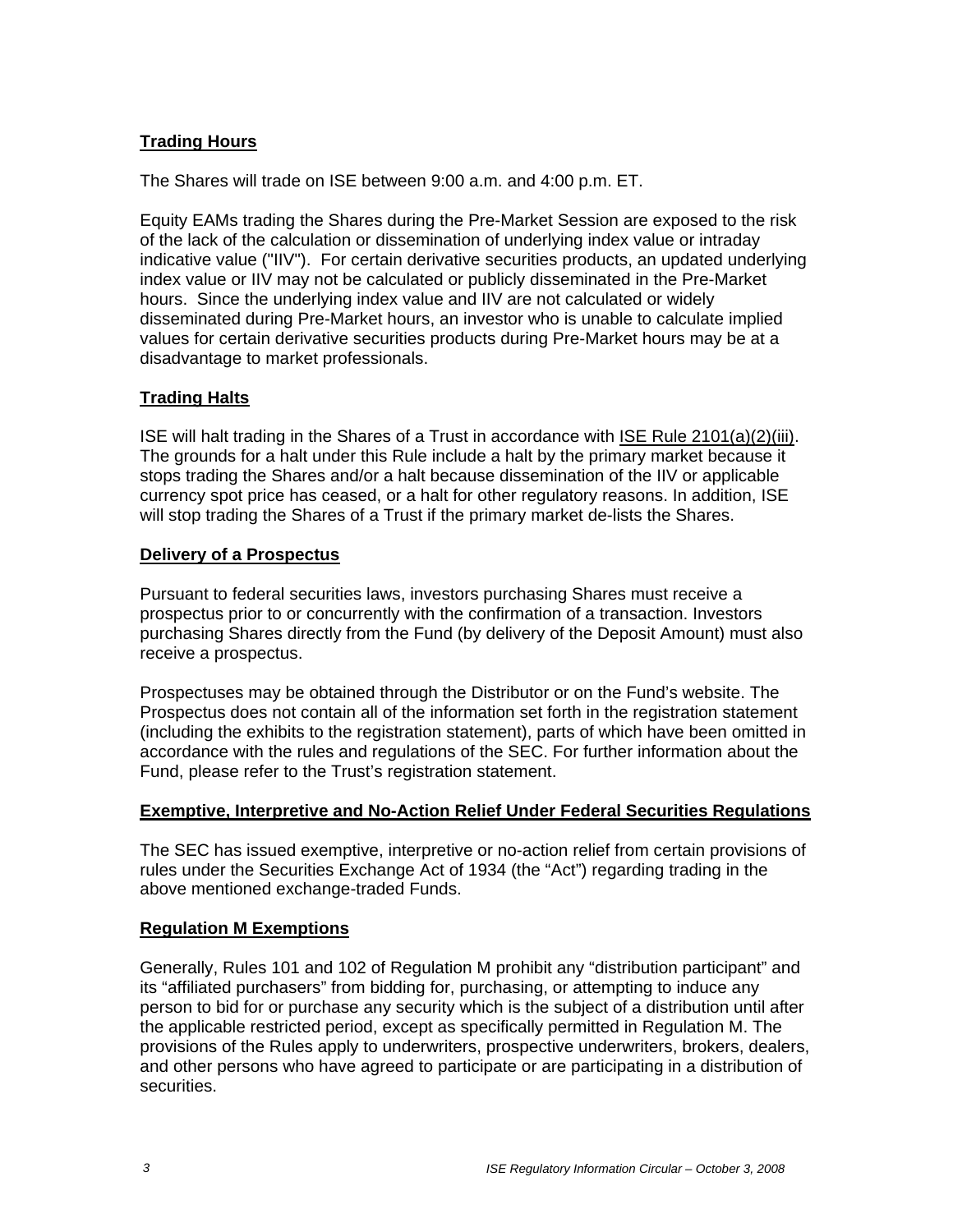# **Trading Hours**

The Shares will trade on ISE between 9:00 a.m. and 4:00 p.m. ET.

Equity EAMs trading the Shares during the Pre-Market Session are exposed to the risk of the lack of the calculation or dissemination of underlying index value or intraday indicative value ("IIV"). For certain derivative securities products, an updated underlying index value or IIV may not be calculated or publicly disseminated in the Pre-Market hours. Since the underlying index value and IIV are not calculated or widely disseminated during Pre-Market hours, an investor who is unable to calculate implied values for certain derivative securities products during Pre-Market hours may be at a disadvantage to market professionals.

## **Trading Halts**

ISE will halt trading in the Shares of a Trust in accordance with ISE Rule 2101(a)(2)(iii). The grounds for a halt under this Rule include a halt by the primary market because it stops trading the Shares and/or a halt because dissemination of the IIV or applicable currency spot price has ceased, or a halt for other regulatory reasons. In addition, ISE will stop trading the Shares of a Trust if the primary market de-lists the Shares.

## **Delivery of a Prospectus**

Pursuant to federal securities laws, investors purchasing Shares must receive a prospectus prior to or concurrently with the confirmation of a transaction. Investors purchasing Shares directly from the Fund (by delivery of the Deposit Amount) must also receive a prospectus.

Prospectuses may be obtained through the Distributor or on the Fund's website. The Prospectus does not contain all of the information set forth in the registration statement (including the exhibits to the registration statement), parts of which have been omitted in accordance with the rules and regulations of the SEC. For further information about the Fund, please refer to the Trust's registration statement.

#### **Exemptive, Interpretive and No-Action Relief Under Federal Securities Regulations**

The SEC has issued exemptive, interpretive or no-action relief from certain provisions of rules under the Securities Exchange Act of 1934 (the "Act") regarding trading in the above mentioned exchange-traded Funds.

## **Regulation M Exemptions**

Generally, Rules 101 and 102 of Regulation M prohibit any "distribution participant" and its "affiliated purchasers" from bidding for, purchasing, or attempting to induce any person to bid for or purchase any security which is the subject of a distribution until after the applicable restricted period, except as specifically permitted in Regulation M. The provisions of the Rules apply to underwriters, prospective underwriters, brokers, dealers, and other persons who have agreed to participate or are participating in a distribution of securities.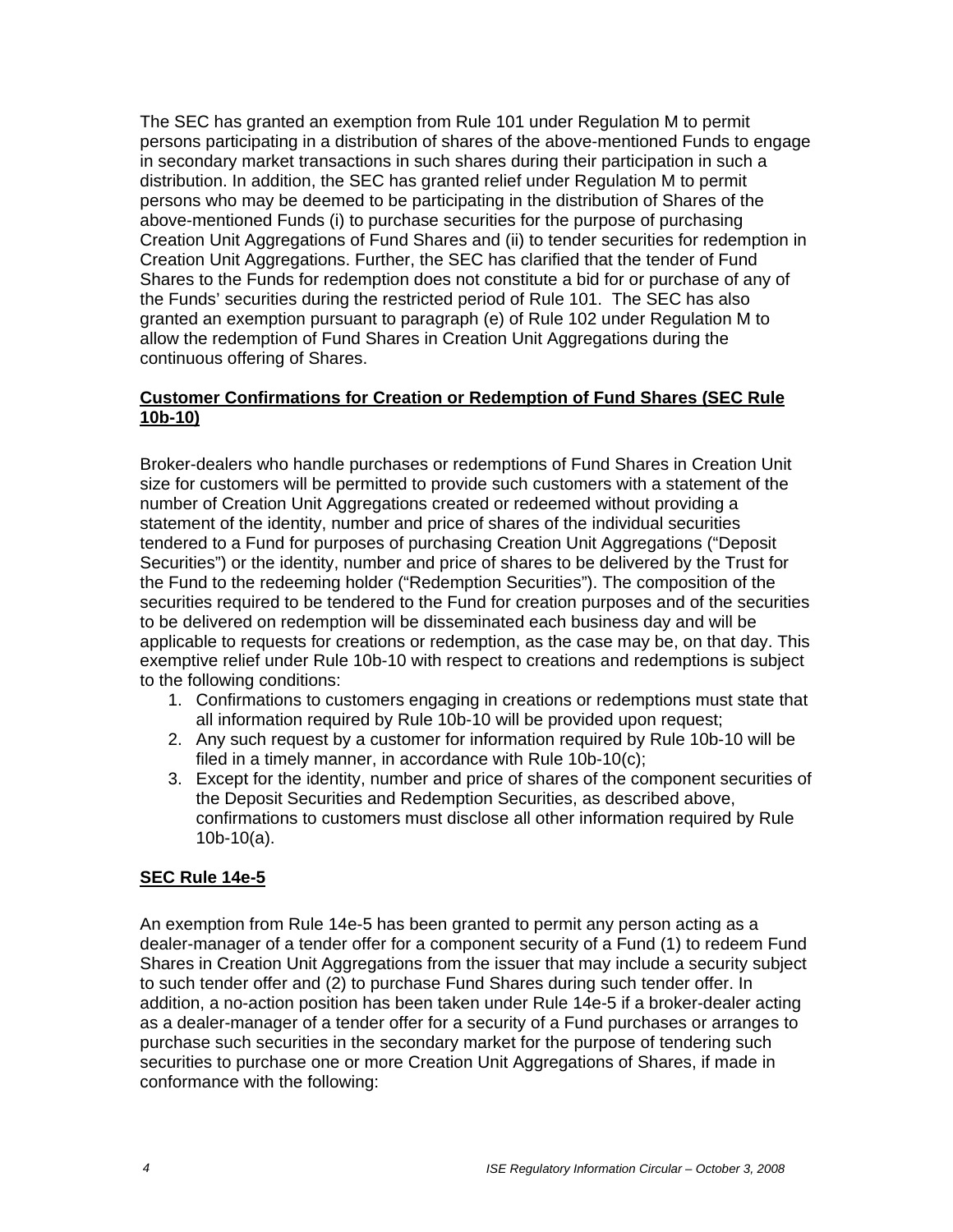The SEC has granted an exemption from Rule 101 under Regulation M to permit persons participating in a distribution of shares of the above-mentioned Funds to engage in secondary market transactions in such shares during their participation in such a distribution. In addition, the SEC has granted relief under Regulation M to permit persons who may be deemed to be participating in the distribution of Shares of the above-mentioned Funds (i) to purchase securities for the purpose of purchasing Creation Unit Aggregations of Fund Shares and (ii) to tender securities for redemption in Creation Unit Aggregations. Further, the SEC has clarified that the tender of Fund Shares to the Funds for redemption does not constitute a bid for or purchase of any of the Funds' securities during the restricted period of Rule 101. The SEC has also granted an exemption pursuant to paragraph (e) of Rule 102 under Regulation M to allow the redemption of Fund Shares in Creation Unit Aggregations during the continuous offering of Shares.

# **Customer Confirmations for Creation or Redemption of Fund Shares (SEC Rule 10b-10)**

Broker-dealers who handle purchases or redemptions of Fund Shares in Creation Unit size for customers will be permitted to provide such customers with a statement of the number of Creation Unit Aggregations created or redeemed without providing a statement of the identity, number and price of shares of the individual securities tendered to a Fund for purposes of purchasing Creation Unit Aggregations ("Deposit Securities") or the identity, number and price of shares to be delivered by the Trust for the Fund to the redeeming holder ("Redemption Securities"). The composition of the securities required to be tendered to the Fund for creation purposes and of the securities to be delivered on redemption will be disseminated each business day and will be applicable to requests for creations or redemption, as the case may be, on that day. This exemptive relief under Rule 10b-10 with respect to creations and redemptions is subject to the following conditions:

- 1. Confirmations to customers engaging in creations or redemptions must state that all information required by Rule 10b-10 will be provided upon request;
- 2. Any such request by a customer for information required by Rule 10b-10 will be filed in a timely manner, in accordance with Rule 10b-10(c);
- 3. Except for the identity, number and price of shares of the component securities of the Deposit Securities and Redemption Securities, as described above, confirmations to customers must disclose all other information required by Rule 10b-10(a).

# **SEC Rule 14e-5**

An exemption from Rule 14e-5 has been granted to permit any person acting as a dealer-manager of a tender offer for a component security of a Fund (1) to redeem Fund Shares in Creation Unit Aggregations from the issuer that may include a security subject to such tender offer and (2) to purchase Fund Shares during such tender offer. In addition, a no-action position has been taken under Rule 14e-5 if a broker-dealer acting as a dealer-manager of a tender offer for a security of a Fund purchases or arranges to purchase such securities in the secondary market for the purpose of tendering such securities to purchase one or more Creation Unit Aggregations of Shares, if made in conformance with the following: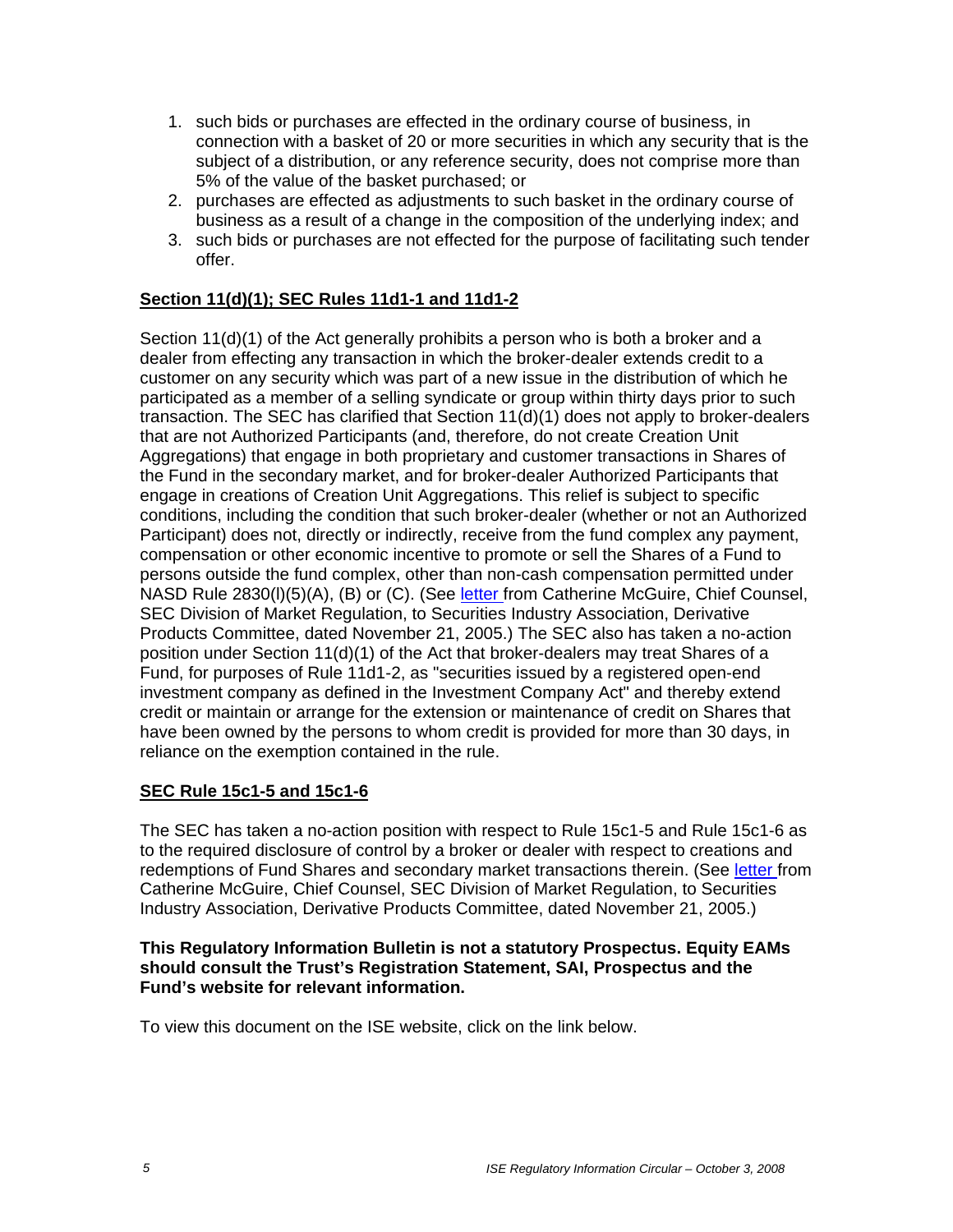- 1. such bids or purchases are effected in the ordinary course of business, in connection with a basket of 20 or more securities in which any security that is the subject of a distribution, or any reference security, does not comprise more than 5% of the value of the basket purchased; or
- 2. purchases are effected as adjustments to such basket in the ordinary course of business as a result of a change in the composition of the underlying index; and
- 3. such bids or purchases are not effected for the purpose of facilitating such tender offer.

# **Section 11(d)(1); SEC Rules 11d1-1 and 11d1-2**

Section 11(d)(1) of the Act generally prohibits a person who is both a broker and a dealer from effecting any transaction in which the broker-dealer extends credit to a customer on any security which was part of a new issue in the distribution of which he participated as a member of a selling syndicate or group within thirty days prior to such transaction. The SEC has clarified that Section 11(d)(1) does not apply to broker-dealers that are not Authorized Participants (and, therefore, do not create Creation Unit Aggregations) that engage in both proprietary and customer transactions in Shares of the Fund in the secondary market, and for broker-dealer Authorized Participants that engage in creations of Creation Unit Aggregations. This relief is subject to specific conditions, including the condition that such broker-dealer (whether or not an Authorized Participant) does not, directly or indirectly, receive from the fund complex any payment, compensation or other economic incentive to promote or sell the Shares of a Fund to persons outside the fund complex, other than non-cash compensation permitted under NASD Rule 2830(I)(5)(A), (B) or (C). (See letter from Catherine McGuire, Chief Counsel, SEC Division of Market Regulation, to Securities Industry Association, Derivative Products Committee, dated November 21, 2005.) The SEC also has taken a no-action position under Section 11(d)(1) of the Act that broker-dealers may treat Shares of a Fund, for purposes of Rule 11d1-2, as "securities issued by a registered open-end investment company as defined in the Investment Company Act" and thereby extend credit or maintain or arrange for the extension or maintenance of credit on Shares that have been owned by the persons to whom credit is provided for more than 30 days, in reliance on the exemption contained in the rule.

## **SEC Rule 15c1-5 and 15c1-6**

The SEC has taken a no-action position with respect to Rule 15c1-5 and Rule 15c1-6 as to the required disclosure of control by a broker or dealer with respect to creations and redemptions of Fund Shares and secondary market transactions therein. (See letter from Catherine McGuire, Chief Counsel, SEC Division of Market Regulation, to Securities Industry Association, Derivative Products Committee, dated November 21, 2005.)

#### **This Regulatory Information Bulletin is not a statutory Prospectus. Equity EAMs should consult the Trust's Registration Statement, SAI, Prospectus and the Fund's website for relevant information.**

To view this document on the ISE website, click on the link below.